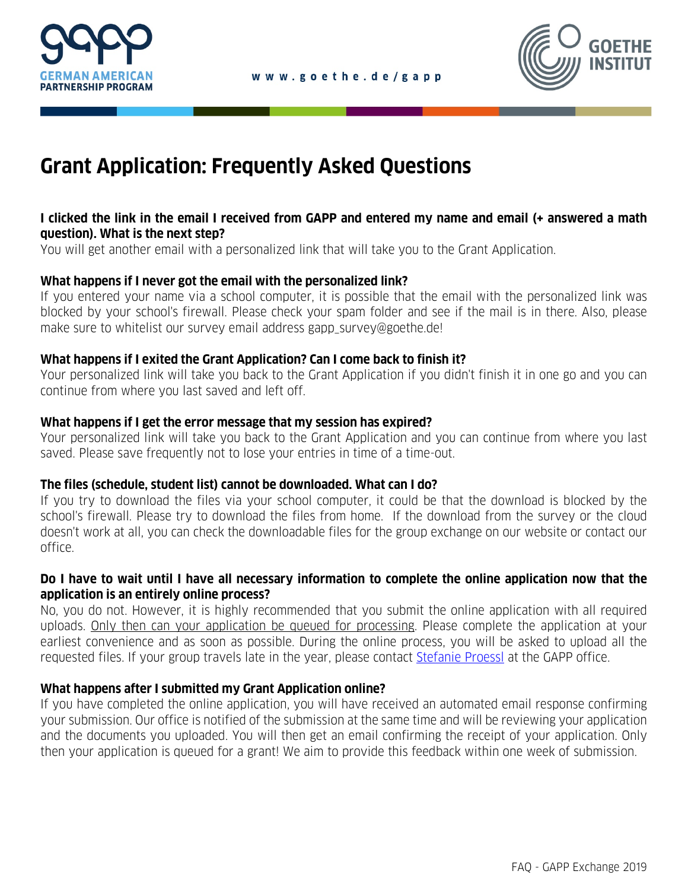



# **Grant Application: Frequently Asked Questions**

### **I clicked the link in the email I received from GAPP and entered my name and email (+ answered a math question). What is the next step?**

You will get another email with a personalized link that will take you to the Grant Application.

#### **What happens if I never got the email with the personalized link?**

If you entered your name via a school computer, it is possible that the email with the personalized link was blocked by your school's firewall. Please check your spam folder and see if the mail is in there. Also, please make sure to whitelist our survey email address gapp\_survey@goethe.de!

#### **What happens if I exited the Grant Application? Can I come back to finish it?**

Your personalized link will take you back to the Grant Application if you didn't finish it in one go and you can continue from where you last saved and left off.

#### **What happens if I get the error message that my session has expired?**

Your personalized link will take you back to the Grant Application and you can continue from where you last saved. Please save frequently not to lose your entries in time of a time-out.

### **The files (schedule, student list) cannot be downloaded. What can I do?**

If you try to download the files via your school computer, it could be that the download is blocked by the school's firewall. Please try to download the files from home. If the download from the survey or the cloud doesn't work at all, you can check the downloadable files for the group exchange on our website or contact our office.

#### **Do I have to wait until I have all necessary information to complete the online application now that the application is an entirely online process?**

No, you do not. However, it is highly recommended that you submit the online application with all required uploads. Only then can your application be queued for processing. Please complete the application at your earliest convenience and as soon as possible. During the online process, you will be asked to upload all the requested files. If your group travels late in the year, please contact [Stefanie Proessl](mailto:Stefanie.Proessl@goethe.de) at the GAPP office.

### **What happens after I submitted my Grant Application online?**

If you have completed the online application, you will have received an automated email response confirming your submission. Our office is notified of the submission at the same time and will be reviewing your application and the documents you uploaded. You will then get an email confirming the receipt of your application. Only then your application is queued for a grant! We aim to provide this feedback within one week of submission.